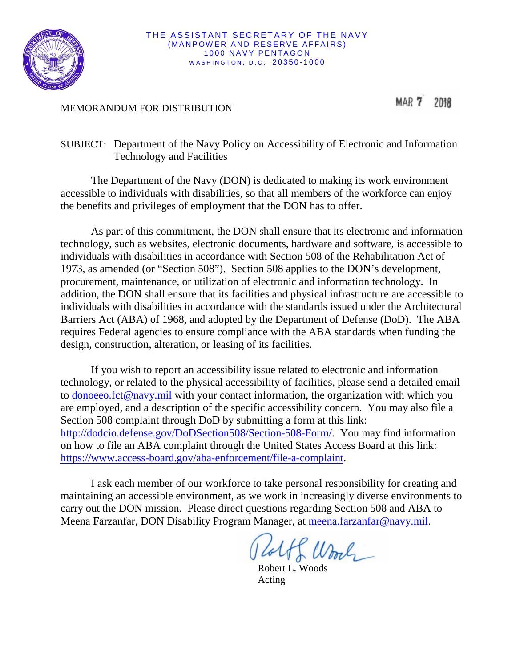

THE ASSISTANT SECRETARY OF THE NAVY (MANPOWER AND RESERVE AFFAIRS) 1000 NAVY PENTAGON WASHINGTON, D.C. 20350-1000

## MEMORANDUM FOR DISTRIBUTION

MAR 7 2018

## SUBJECT: Department of the Navy Policy on Accessibility of Electronic and Information Technology and Facilities

The Department of the Navy (DON) is dedicated to making its work environment accessible to individuals with disabilities, so that all members of the workforce can enjoy the benefits and privileges of employment that the DON has to offer.

As part of this commitment, the DON shall ensure that its electronic and information technology, such as websites, electronic documents, hardware and software, is accessible to individuals with disabilities in accordance with Section 508 of the Rehabilitation Act of 1973, as amended (or "Section 508"). Section 508 applies to the DON's development, procurement, maintenance, or utilization of electronic and information technology. In addition, the DON shall ensure that its facilities and physical infrastructure are accessible to individuals with disabilities in accordance with the standards issued under the Architectural Barriers Act (ABA) of 1968, and adopted by the Department of Defense (DoD). The ABA requires Federal agencies to ensure compliance with the ABA standards when funding the design, construction, alteration, or leasing of its facilities.

If you wish to report an accessibility issue related to electronic and information technology, or related to the physical accessibility of facilities, please send a detailed email to [donoeeo.fct@navy.mil](mailto:donoeeo.fct@navy.mil) with your contact information, the organization with which you are employed, and a description of the specific accessibility concern. You may also file a Section 508 complaint through DoD by submitting a form at this link: [http://dodcio.defense.gov/DoDSection508/Section-508-Form/.](http://dodcio.defense.gov/DoDSection508/Section-508-Form/) You may find information on how to file an ABA complaint through the United States Access Board at this link: [https://www.access-board.gov/aba-enforcement/file-a-complaint.](https://www.access-board.gov/aba-enforcement/file-a-complaint)

I ask each member of our workforce to take personal responsibility for creating and maintaining an accessible environment, as we work in increasingly diverse environments to carry out the DON mission. Please direct questions regarding Section 508 and ABA to Meena Farzanfar, DON Disability Program Manager, at [meena.farzanfar@navy.mil.](mailto:meena.farzanfar@navy.mil)

Wool

Robert L. Woods Acting